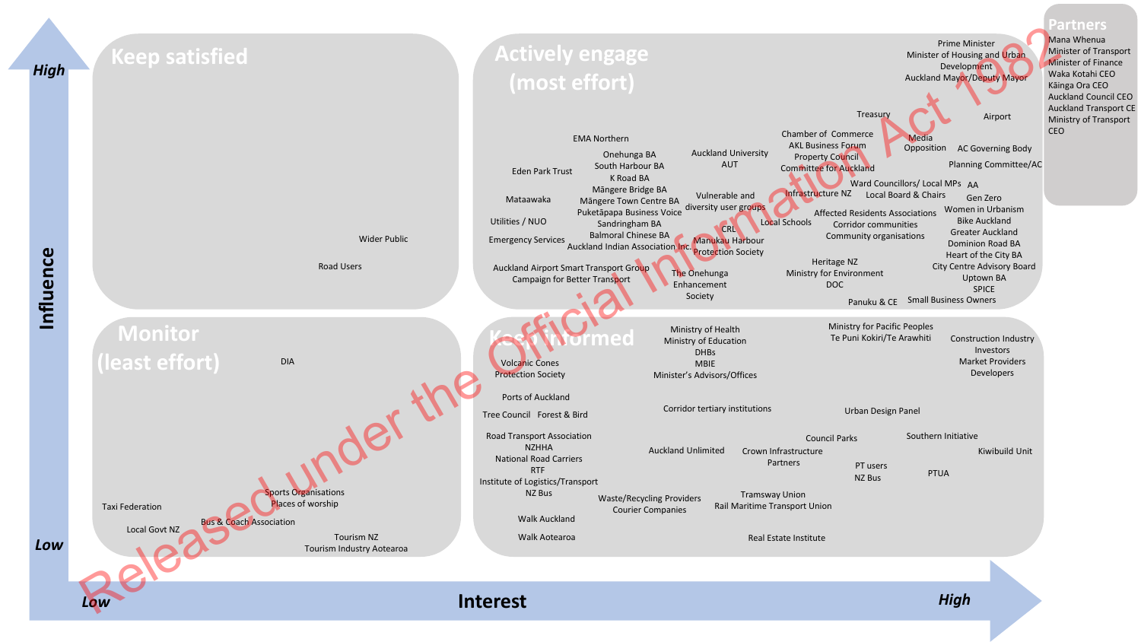